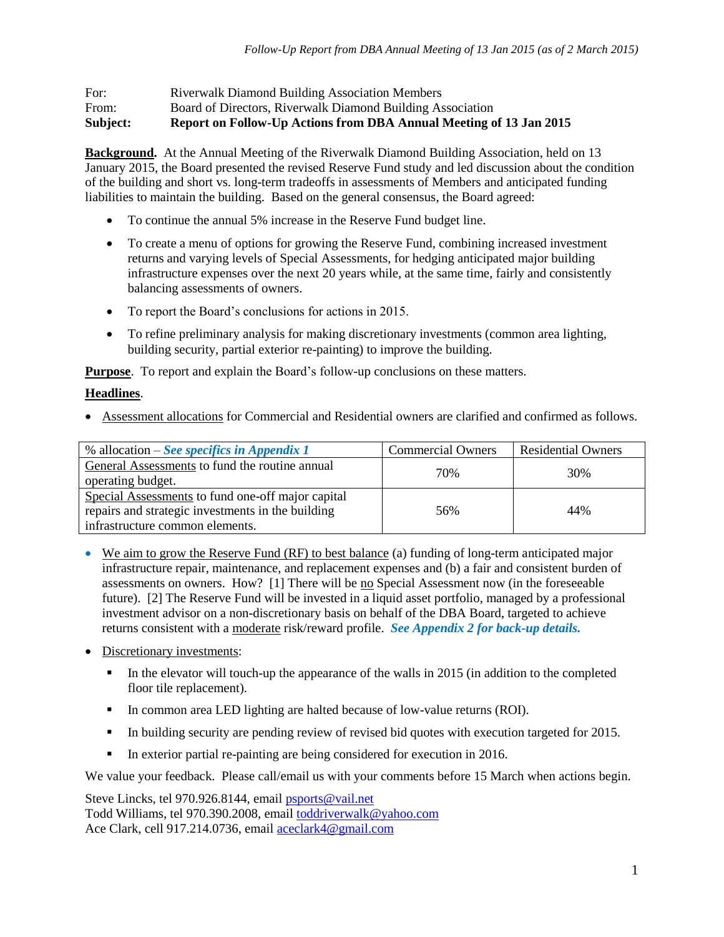| For:  | <b>Riverwalk Diamond Building Association Members</b>      |
|-------|------------------------------------------------------------|
| From: | Board of Directors, Riverwalk Diamond Building Association |

**Subject: Report on Follow-Up Actions from DBA Annual Meeting of 13 Jan 2015**

**Background.** At the Annual Meeting of the Riverwalk Diamond Building Association, held on 13 January 2015, the Board presented the revised Reserve Fund study and led discussion about the condition of the building and short vs. long-term tradeoffs in assessments of Members and anticipated funding liabilities to maintain the building. Based on the general consensus, the Board agreed:

- To continue the annual 5% increase in the Reserve Fund budget line.
- To create a menu of options for growing the Reserve Fund, combining increased investment returns and varying levels of Special Assessments, for hedging anticipated major building infrastructure expenses over the next 20 years while, at the same time, fairly and consistently balancing assessments of owners.
- To report the Board's conclusions for actions in 2015.
- To refine preliminary analysis for making discretionary investments (common area lighting, building security, partial exterior re-painting) to improve the building.

**Purpose**. To report and explain the Board's follow-up conclusions on these matters.

#### **Headlines**.

Assessment allocations for Commercial and Residential owners are clarified and confirmed as follows.

| % allocation – See specifics in Appendix 1        | <b>Commercial Owners</b> | <b>Residential Owners</b> |
|---------------------------------------------------|--------------------------|---------------------------|
| General Assessments to fund the routine annual    | 70%                      | 30%                       |
| operating budget.                                 |                          |                           |
| Special Assessments to fund one-off major capital |                          |                           |
| repairs and strategic investments in the building | 56%                      | 44%                       |
| infrastructure common elements.                   |                          |                           |

- We aim to grow the Reserve Fund (RF) to best balance (a) funding of long-term anticipated major infrastructure repair, maintenance, and replacement expenses and (b) a fair and consistent burden of assessments on owners. How? [1] There will be no Special Assessment now (in the foreseeable future). [2] The Reserve Fund will be invested in a liquid asset portfolio, managed by a professional investment advisor on a non-discretionary basis on behalf of the DBA Board, targeted to achieve returns consistent with a moderate risk/reward profile. *See Appendix 2 for back-up details.*
- Discretionary investments:
	- $\blacksquare$  In the elevator will touch-up the appearance of the walls in 2015 (in addition to the completed floor tile replacement).
	- In common area LED lighting are halted because of low-value returns (ROI).
	- In building security are pending review of revised bid quotes with execution targeted for 2015.
	- In exterior partial re-painting are being considered for execution in 2016.

We value your feedback. Please call/email us with your comments before 15 March when actions begin.

Steve Lincks, tel 970.926.8144, email [psports@vail.net](mailto:psports@vail.net) Todd Williams, tel 970.390.2008, emai[l toddriverwalk@yahoo.com](mailto:toddriverwalk@yahoo.com) Ace Clark, cell 917.214.0736, email [aceclark4@gmail.com](mailto:aceclark4@gmail.com)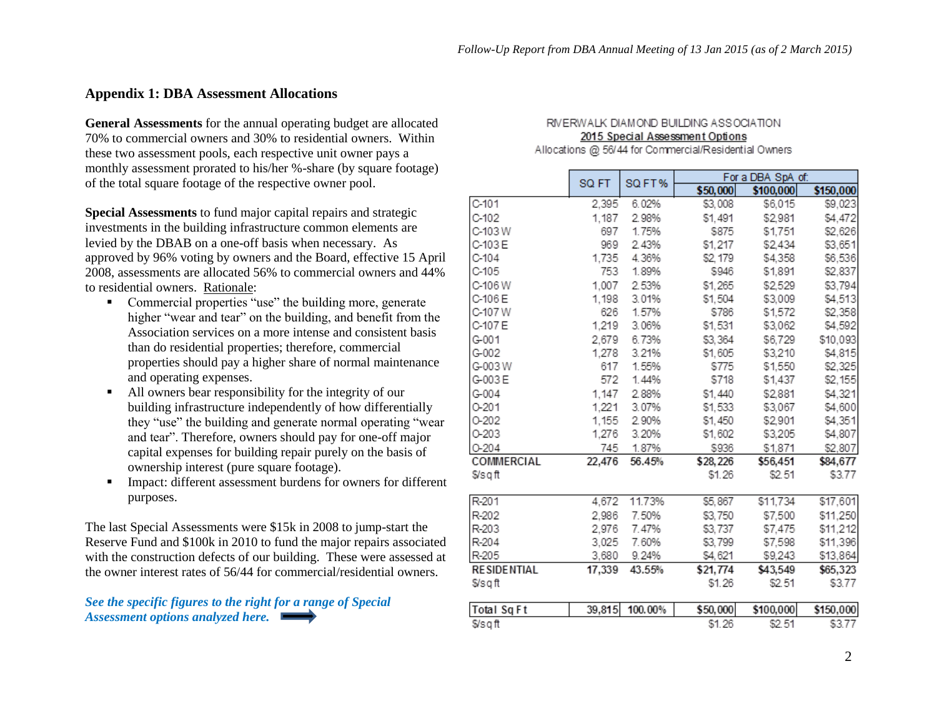#### **Appendix 1: DBA Assessment Allocations**

**General Assessments** for the annual operating budget are allocated 70% to commercial owners and 30% to residential owners. Within these two assessment pools, each respective unit owner pays a monthly assessment prorated to his/her %-share (by square footage) of the total square footage of the respective owner pool.

**Special Assessments** to fund major capital repairs and strategic investments in the building infrastructure common elements are levied by the DBAB on a one-off basis when necessary. As approved by 96% voting by owners and the Board, effective 15 April 2008, assessments are allocated 56% to commercial owners and 44% to residential owners. Rationale:

- Commercial properties "use" the building more, generate higher "wear and tear" on the building, and benefit from the Association services on a more intense and consistent basis than do residential properties; therefore, commercial properties should pay a higher share of normal maintenance and operating expenses.
- All owners bear responsibility for the integrity of our building infrastructure independently of how differentially they "use" the building and generate normal operating "wear and tear". Therefore, owners should pay for one-off major capital expenses for building repair purely on the basis of ownership interest (pure square footage).
- **Impact: different assessment burdens for owners for different** purposes.

The last Special Assessments were \$15k in 2008 to jump-start the Reserve Fund and \$100k in 2010 to fund the major repairs associated with the construction defects of our building. These were assessed at the owner interest rates of 56/44 for commercial/residential owners.

*See the specific figures to the right for a range of Special Assessment options analyzed here.* 

#### RIVERWALK DIAMOND BUILDING ASSOCIATION. 2015 Special Assessment Options Allocations @ 56/44 for Commercial/Residential Owners

|                    | SQ FT  | SQ FT%  | For a DBA SpA of: |           |           |  |  |
|--------------------|--------|---------|-------------------|-----------|-----------|--|--|
|                    |        |         | \$50,000          | \$100,000 | \$150,000 |  |  |
| $C-101$            | 2,395  | 6.02%   | \$3,008           | \$6,015   | \$9,023   |  |  |
| $C-102$            | 1,187  | 2.98%   | \$1,491           | \$2,981   | \$4,472   |  |  |
| C-103W             | 697    | 1.75%   | \$875             | \$1,751   | \$2,626   |  |  |
| C-103 E            | 969    | 2.43%   | \$1,217           | \$2,434   | \$3,651   |  |  |
| $C-104$            | 1,735  | 4.36%   | \$2, 179          | \$4,358   | \$6,536   |  |  |
| C-105              | 753    | 1.89%   | \$946             | \$1,891   | \$2,837   |  |  |
| C-106W             | 1,007  | 2.53%   | \$1,265           | \$2,529   | \$3,794   |  |  |
| C-106 E            | 1,198  | 3.01%   | \$1,504           | \$3,009   | \$4,513   |  |  |
| C-107 W            | 626    | 1.57%   | \$786             | \$1,572   | \$2,358   |  |  |
| C-107 E            | 1,219  | 3.06%   | \$1,531           | \$3,062   | \$4,592   |  |  |
| G-001              | 2,679  | 6.73%   | \$3,364           | \$6,729   | \$10,093  |  |  |
| G-002              | 1,278  | 3.21%   | \$1,605           | \$3,210   | \$4,815   |  |  |
| G-003W             | 617    | 1.55%   | \$775             | \$1,550   | \$2,325   |  |  |
| G-003E             | 572    | 1.44%   | \$718             | \$1,437   | \$2,155   |  |  |
| $G - 004$          | 1,147  | 2.88%   | \$1,440           | \$2,881   | \$4,321   |  |  |
| $0 - 201$          | 1,221  | 3.07%   | \$1,533           | \$3,067   | \$4,600   |  |  |
| 0-202              | 1,155  | 2.90%   | \$1,450           | \$2,901   | \$4,351   |  |  |
| 0-203              | 1,276  | 3.20%   | \$1,602           | \$3,205   | \$4,807   |  |  |
| $O-204$            | 745    | 1.87%   | \$936             | \$1,871   | \$2,807   |  |  |
| COMMERCIAL         | 22,476 | 56.45%  | \$28,226          | \$56,451  | \$84,677  |  |  |
| \$/sqft            |        |         | \$1.26            | \$2.51    | \$3.77    |  |  |
| R-201              | 4,672  | 11.73%  | \$5,867           | \$11,734  | \$17,601  |  |  |
| R-202              | 2,986  | 7.50%   | \$3,750           | \$7,500   | \$11,250  |  |  |
| R-203              | 2,976  | 7.47%   | \$3,737           | \$7,475   | \$11,212  |  |  |
| R-204              | 3,025  | 7.60%   | \$3,799           | \$7,598   | \$11,396  |  |  |
| R-205              | 3,680  | 9.24%   | \$4,621           | \$9,243   | \$13,864  |  |  |
| <b>RESIDENTIAL</b> | 17,339 | 43.55%  | \$21,774          | \$43,549  | \$65,323  |  |  |
| \$/sqft            |        |         | \$1.26            | \$2.51    | \$3.77    |  |  |
| Total Sq Ft        | 39,815 | 100.00% | \$50,000          | \$100,000 | \$150,000 |  |  |
| \$/sqft            |        |         | \$1.26            | \$2.51    | \$3.77    |  |  |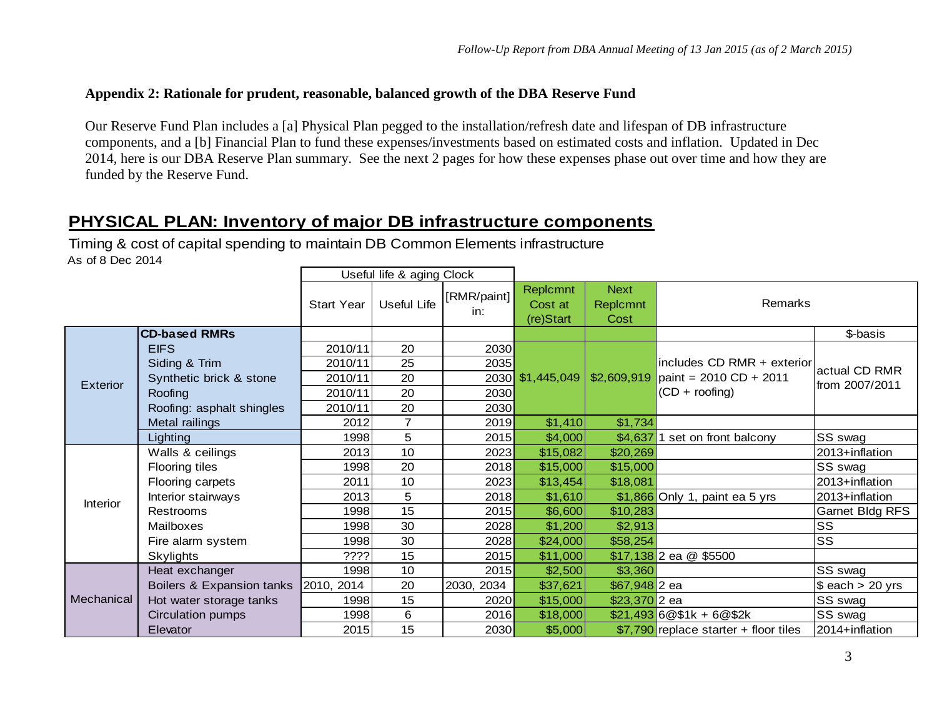## **Appendix 2: Rationale for prudent, reasonable, balanced growth of the DBA Reserve Fund**

Our Reserve Fund Plan includes a [a] Physical Plan pegged to the installation/refresh date and lifespan of DB infrastructure components, and a [b] Financial Plan to fund these expenses/investments based on estimated costs and inflation. Updated in Dec 2014, here is our DBA Reserve Plan summary. See the next 2 pages for how these expenses phase out over time and how they are funded by the Reserve Fund.

# **PHYSICAL PLAN: Inventory of major DB infrastructure components**

Timing & cost of capital spending to maintain DB Common Elements infrastructure As of 8 Dec 2014

|            |                           |                   | Useful life & aging Clock |                    |                                  |                                 |                                        |                     |
|------------|---------------------------|-------------------|---------------------------|--------------------|----------------------------------|---------------------------------|----------------------------------------|---------------------|
|            |                           | <b>Start Year</b> | Useful Life               | [RMR/paint]<br>in: | Replcmnt<br>Cost at<br>(re)Start | <b>Next</b><br>Replcmnt<br>Cost | Remarks                                |                     |
|            | <b>CD-based RMRs</b>      |                   |                           |                    |                                  |                                 |                                        | \$-basis            |
|            | <b>EIFS</b>               | 2010/11           | 20                        | 2030               |                                  |                                 |                                        |                     |
|            | Siding & Trim             | 2010/11           | 25                        | 2035               |                                  |                                 | includes CD RMR + exterior             | actual CD RMR       |
| Exterior   | Synthetic brick & stone   | 2010/11           | 20                        |                    | 2030 \$1,445,049                 |                                 | $$2,609,919$ paint = 2010 CD + 2011    | from 2007/2011      |
|            | Roofing                   | 2010/11           | 20                        | 2030               |                                  |                                 | $(CD + roofing)$                       |                     |
|            | Roofing: asphalt shingles | 2010/11           | 20                        | 2030               |                                  |                                 |                                        |                     |
|            | Metal railings            | 2012              | $\overline{7}$            | 2019               | \$1,410                          | \$1,734                         |                                        |                     |
|            | Lighting                  | 1998              | 5                         | 2015               | \$4,000                          | \$4,637                         | set on front balcony                   | <b>SS swag</b>      |
|            | Walls & ceilings          | 2013              | 10                        | 2023               | \$15,082                         | \$20,269                        |                                        | 2013+inflation      |
|            | Flooring tiles            | 1998              | 20                        | 2018               | \$15,000                         | \$15,000                        |                                        | SS swag             |
|            | Flooring carpets          | 2011              | 10                        | 2023               | \$13,454                         | \$18,081                        |                                        | 2013+inflation      |
| Interior   | Interior stairways        | 2013              | 5                         | 2018               | \$1,610                          |                                 | \$1,866 Only 1, paint ea 5 yrs         | 2013+inflation      |
|            | Restrooms                 | 1998              | 15                        | 2015               | \$6,600                          | \$10,283                        |                                        | Garnet Bldg RFS     |
|            | Mailboxes                 | 1998              | 30                        | 2028               | \$1,200                          | \$2,913                         |                                        | <b>SS</b>           |
|            | Fire alarm system         | 1998              | 30                        | 2028               | \$24,000                         | \$58,254                        |                                        | <b>SS</b>           |
|            | <b>Skylights</b>          | ????              | 15                        | 2015               | \$11,000                         |                                 | $$17,138$ 2 ea @ \$5500                |                     |
|            | Heat exchanger            | 1998              | 10                        | 2015               | \$2,500                          | \$3,360                         |                                        | <b>SS</b> swag      |
|            | Boilers & Expansion tanks | [2010, 2014]      | 20                        | 2030,<br>2034      | \$37,621                         | $$67,948$ 2 ea                  |                                        | $$$ each $> 20$ yrs |
| Mechanical | Hot water storage tanks   | 1998              | 15                        | 2020               | \$15,000                         | $$23,370$ 2 ea                  |                                        | SS swag             |
|            | Circulation pumps         | 1998              | $\,6$                     | 2016               | \$18,000                         |                                 | $$21,493$ 6 @ \$1k + 6 @ \$2k          | SS swag             |
|            | Elevator                  | 2015              | 15                        | 2030               | \$5,000                          |                                 | $$7,790$ replace starter + floor tiles | 2014+inflation      |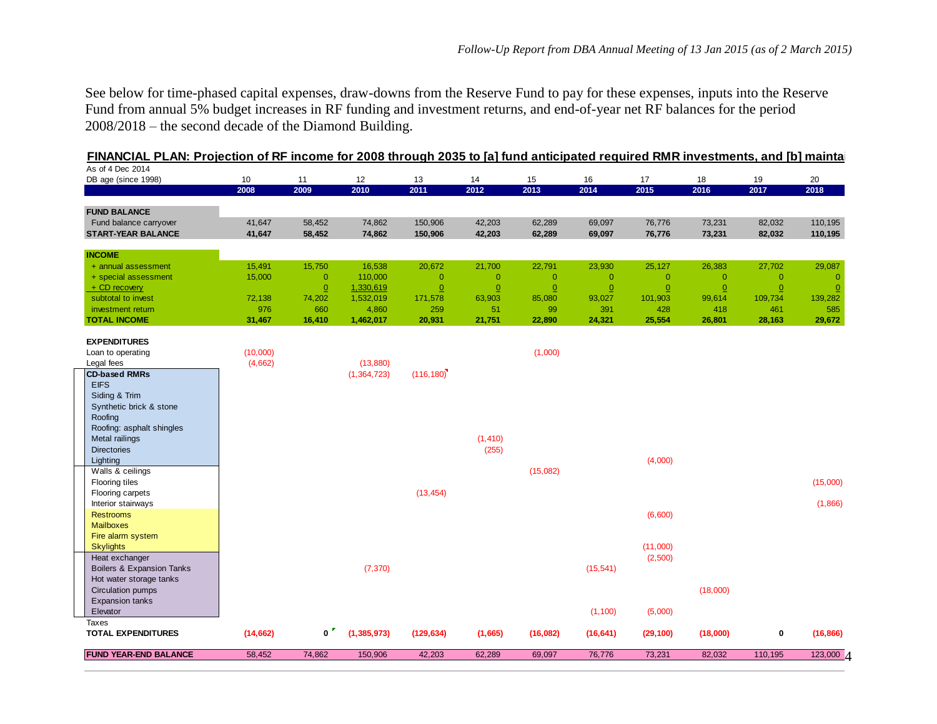See below for time-phased capital expenses, draw-downs from the Reserve Fund to pay for these expenses, inputs into the Reserve Fund from annual 5% budget increases in RF funding and investment returns, and end-of-year net RF balances for the period 2008/2018 – the second decade of the Diamond Building.

| As of 4 Dec 2014<br>DB age (since 1998) | 10 <sup>1</sup> | 11             | 12            | 13             | 14             | 15             | 16             | 17             | 18                      | 19             | 20        |
|-----------------------------------------|-----------------|----------------|---------------|----------------|----------------|----------------|----------------|----------------|-------------------------|----------------|-----------|
|                                         | 2008            | 2009           | 2010          | 2011           | 2012           | 2013           | 2014           | 2015           | 2016                    | 2017           | 2018      |
| <b>FUND BALANCE</b>                     |                 |                |               |                |                |                |                |                |                         |                |           |
| Fund balance carryover                  | 41,647          | 58,452         | 74,862        | 150,906        | 42,203         | 62,289         | 69,097         | 76,776         | 73,231                  | 82,032         | 110,195   |
| <b>START-YEAR BALANCE</b>               | 41,647          | 58,452         | 74,862        | 150,906        | 42,203         | 62,289         | 69,097         | 76,776         | 73,231                  | 82,032         | 110,195   |
| <b>INCOME</b>                           |                 |                |               |                |                |                |                |                |                         |                |           |
| + annual assessment                     | 15,491          | 15,750         | 16,538        | 20,672         | 21,700         | 22,791         | 23,930         | 25,127         | 26,383                  | 27,702         | 29,087    |
| + special assessment                    | 15,000          | $\overline{0}$ | 110,000       | $\overline{0}$ | $\overline{0}$ | $\overline{0}$ | $\overline{0}$ | $\overline{0}$ | $\overline{\mathbf{0}}$ | $\overline{0}$ |           |
| $+$ CD recovery                         |                 | $\overline{0}$ | 1,330,619     | $\Omega$       | $\Omega$       | $\Omega$       | $\Omega$       | $\Omega$       | $\Omega$                | $\overline{0}$ |           |
| subtotal to invest                      | 72,138          | 74,202         | 1,532,019     | 171,578        | 63,903         | 85,080         | 93,027         | 101,903        | 99,614                  | 109,734        | 139,282   |
| investment return                       | 976             | 660            | 4,860         | 259            | $-51$          | 99             | 391            | 428            | 418                     | 461            | 585       |
| <b>TOTAL INCOME</b>                     | 31,467          | 16,410         | 1,462,017     | 20,931         | 21,751         | 22,890         | 24,321         | 25,554         | 26,801                  | 28,163         | 29,672    |
| <b>EXPENDITURES</b>                     |                 |                |               |                |                |                |                |                |                         |                |           |
| Loan to operating                       | (10,000)        |                |               |                |                | (1,000)        |                |                |                         |                |           |
| Legal fees                              | (4,662)         |                | (13, 880)     |                |                |                |                |                |                         |                |           |
| <b>CD-based RMRs</b><br><b>EIFS</b>     |                 |                | (1,364,723)   | (116, 180)     |                |                |                |                |                         |                |           |
| Siding & Trim                           |                 |                |               |                |                |                |                |                |                         |                |           |
| Synthetic brick & stone                 |                 |                |               |                |                |                |                |                |                         |                |           |
| Roofing                                 |                 |                |               |                |                |                |                |                |                         |                |           |
| Roofing: asphalt shingles               |                 |                |               |                |                |                |                |                |                         |                |           |
| Metal railings                          |                 |                |               |                | (1, 410)       |                |                |                |                         |                |           |
| <b>Directories</b>                      |                 |                |               |                | (255)          |                |                |                |                         |                |           |
| Lighting                                |                 |                |               |                |                |                |                | (4,000)        |                         |                |           |
| Walls & ceilings                        |                 |                |               |                |                | (15,082)       |                |                |                         |                |           |
| Flooring tiles                          |                 |                |               |                |                |                |                |                |                         |                | (15,000)  |
| Flooring carpets<br>Interior stairways  |                 |                |               | (13, 454)      |                |                |                |                |                         |                | (1,866)   |
| <b>Restrooms</b>                        |                 |                |               |                |                |                |                | (6,600)        |                         |                |           |
| <b>Mailboxes</b>                        |                 |                |               |                |                |                |                |                |                         |                |           |
| Fire alarm system                       |                 |                |               |                |                |                |                |                |                         |                |           |
| <b>Skylights</b>                        |                 |                |               |                |                |                |                | (11,000)       |                         |                |           |
| Heat exchanger                          |                 |                |               |                |                |                |                | (2,500)        |                         |                |           |
| Boilers & Expansion Tanks               |                 |                | (7, 370)      |                |                |                | (15, 541)      |                |                         |                |           |
| Hot water storage tanks                 |                 |                |               |                |                |                |                |                |                         |                |           |
| Circulation pumps                       |                 |                |               |                |                |                |                |                | (18,000)                |                |           |
| <b>Expansion tanks</b>                  |                 |                |               |                |                |                |                |                |                         |                |           |
| Elevator<br>Taxes                       |                 |                |               |                |                |                | (1, 100)       | (5,000)        |                         |                |           |
| <b>TOTAL EXPENDITURES</b>               | (14, 662)       | 0 <sup>r</sup> | (1, 385, 973) | (129, 634)     | (1,665)        | (16,082)       | (16, 641)      | (29, 100)      | (18,000)                | 0              | (16, 866) |
|                                         |                 |                |               |                |                |                |                |                |                         |                |           |
| <b>FUND YEAR-END BALANCE</b>            | 58,452          | 74,862         | 150,906       | 42,203         | 62,289         | 69,097         | 76,776         | 73,231         | 82,032                  | 110,195        | 123,000 4 |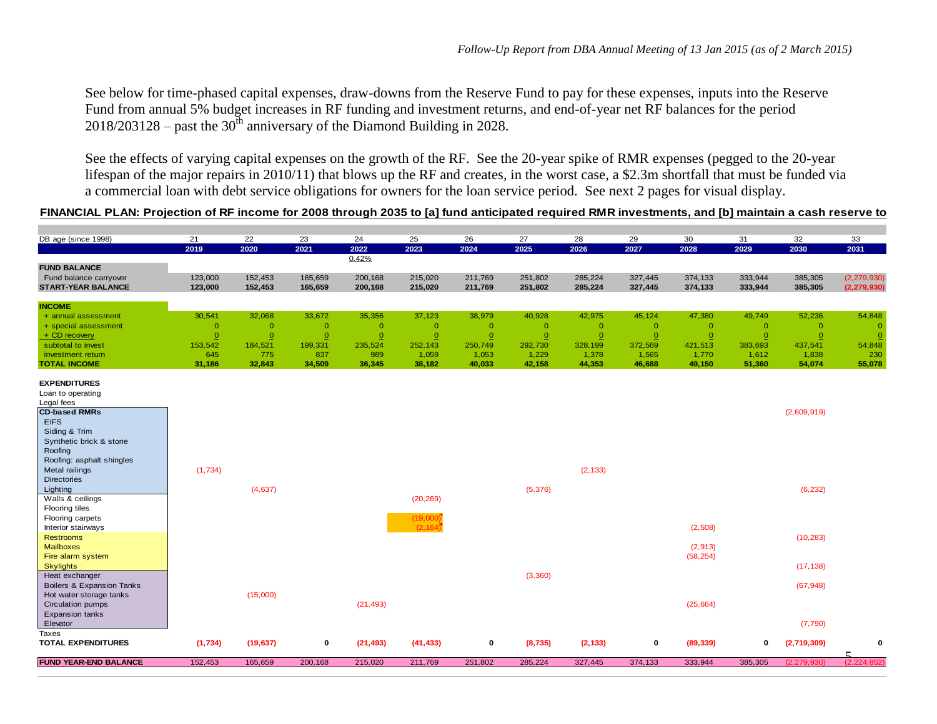See below for time-phased capital expenses, draw-downs from the Reserve Fund to pay for these expenses, inputs into the Reserve Fund from annual 5% budget increases in RF funding and investment returns, and end-of-year net RF balances for the period  $2018/203128$  – past the 30<sup>th</sup> anniversary of the Diamond Building in 2028.

See the effects of varying capital expenses on the growth of the RF. See the 20-year spike of RMR expenses (pegged to the 20-year lifespan of the major repairs in 2010/11) that blows up the RF and creates, in the worst case, a \$2.3m shortfall that must be funded via a commercial loan with debt service obligations for owners for the loan service period. See next 2 pages for visual display.

#### FINANCIAL PLAN: Projection of RF income for 2008 through 2035 to [a] fund anticipated required RMR investments, and [b] maintain a cash reserve to

| DB age (since 1998)                  | 21       | 22           | 23             | 24             | 25             | 26             | 27           | 28           | 29             | 30             | 31           | 32             | 33            |
|--------------------------------------|----------|--------------|----------------|----------------|----------------|----------------|--------------|--------------|----------------|----------------|--------------|----------------|---------------|
|                                      | 2019     | 2020         | 2021           | 2022           | 2023           | 2024           | 2025         | 2026         | 2027           | 2028           | 2029         | 2030           | 2031          |
| <b>FUND BALANCE</b>                  |          |              |                | 0.42%          |                |                |              |              |                |                |              |                |               |
| Fund balance carryover               | 123,000  | 152,453      | 165,659        | 200,168        | 215,020        | 211,769        | 251,802      | 285,224      | 327,445        | 374,133        | 333,944      | 385,305        | (2, 279, 930) |
| <b>START-YEAR BALANCE</b>            | 123,000  | 152,453      | 165,659        | 200,168        | 215,020        | 211,769        | 251,802      | 285,224      | 327,445        | 374,133        | 333,944      | 385,305        | (2, 279, 930) |
|                                      |          |              |                |                |                |                |              |              |                |                |              |                |               |
| <b>INCOME</b>                        |          |              |                |                |                |                |              |              |                |                |              |                |               |
| + annual assessment                  | 30,541   | 32,068       | 33,672         | 35,356         | 37,123         | 38,979         | 40,928       | 42,975       | 45,124         | 47,380         | 49,749       | 52,236         | 54,848        |
| + special assessment                 | $\circ$  | $\mathbf{0}$ | $\overline{0}$ | $\overline{0}$ | $\overline{0}$ | $\overline{0}$ | $\mathbf{0}$ | $\mathbf{0}$ | $\overline{0}$ | $\overline{0}$ | $\mathbf{O}$ | $\overline{0}$ | $\mathbf{0}$  |
| + CD recovery                        | $\Omega$ | $\Omega$     | $\Omega$       | $\overline{0}$ | $\Omega$       | $\overline{0}$ | $\Omega$     | $\Omega$     | $\Omega$       | $\Omega$       | $\Omega$     | $\mathbf 0$    | $\Omega$      |
| subtotal to invest                   | 153,542  | 184,521      | 199,331        | 235,524        | 252,143        | 250,749        | 292,730      | 328,199      | 372,569        | 421,513        | 383,693      | 437,541        | 54,848        |
| investment return                    | 645      | 775          | 837            | 989            | 1,059          | 1,053          | 1,229        | 1,378        | 1,565          | 1,770          | 1,612        | 1,838          | 230           |
| <b>TOTAL INCOME</b>                  | 31,186   | 32,843       | 34,509         | 36,345         | 38,182         | 40,033         | 42,158       | 44,353       | 46,688         | 49,150         | 51,360       | 54,074         | 55,078        |
| <b>EXPENDITURES</b>                  |          |              |                |                |                |                |              |              |                |                |              |                |               |
| Loan to operating                    |          |              |                |                |                |                |              |              |                |                |              |                |               |
| Legal fees                           |          |              |                |                |                |                |              |              |                |                |              |                |               |
| <b>CD-based RMRs</b>                 |          |              |                |                |                |                |              |              |                |                |              | (2,609,919)    |               |
| <b>EIFS</b>                          |          |              |                |                |                |                |              |              |                |                |              |                |               |
| Siding & Trim                        |          |              |                |                |                |                |              |              |                |                |              |                |               |
| Synthetic brick & stone              |          |              |                |                |                |                |              |              |                |                |              |                |               |
| Roofing                              |          |              |                |                |                |                |              |              |                |                |              |                |               |
| Roofing: asphalt shingles            |          |              |                |                |                |                |              |              |                |                |              |                |               |
| Metal railings                       | (1,734)  |              |                |                |                |                |              | (2, 133)     |                |                |              |                |               |
| <b>Directories</b>                   |          |              |                |                |                |                |              |              |                |                |              |                |               |
| Lighting<br>Walls & ceilings         |          | (4,637)      |                |                | (20, 269)      |                | (5,376)      |              |                |                |              | (6, 232)       |               |
| Flooring tiles                       |          |              |                |                |                |                |              |              |                |                |              |                |               |
| Flooring carpets                     |          |              |                |                | (19,000)       |                |              |              |                |                |              |                |               |
| Interior stairways                   |          |              |                |                | (2, 164)       |                |              |              |                | (2,508)        |              |                |               |
| <b>Restrooms</b>                     |          |              |                |                |                |                |              |              |                |                |              | (10, 283)      |               |
| <b>Mailboxes</b>                     |          |              |                |                |                |                |              |              |                | (2,913)        |              |                |               |
| Fire alarm system                    |          |              |                |                |                |                |              |              |                | (58, 254)      |              |                |               |
| <b>Skylights</b>                     |          |              |                |                |                |                |              |              |                |                |              | (17, 138)      |               |
| Heat exchanger                       |          |              |                |                |                |                | (3,360)      |              |                |                |              |                |               |
| <b>Boilers &amp; Expansion Tanks</b> |          |              |                |                |                |                |              |              |                |                |              | (67, 948)      |               |
| Hot water storage tanks              |          | (15,000)     |                |                |                |                |              |              |                |                |              |                |               |
| Circulation pumps                    |          |              |                | (21, 493)      |                |                |              |              |                | (25, 664)      |              |                |               |
| <b>Expansion tanks</b>               |          |              |                |                |                |                |              |              |                |                |              |                |               |
| Elevator<br>Taxes                    |          |              |                |                |                |                |              |              |                |                |              | (7,790)        |               |
| <b>TOTAL EXPENDITURES</b>            | (1,734)  | (19, 637)    | 0              | (21, 493)      | (41, 433)      | $\mathbf 0$    | (8,735)      | (2, 133)     | $\mathbf 0$    | (89, 339)      | 0            | (2,719,309)    | 0             |
|                                      |          |              |                |                |                |                |              |              |                |                |              |                |               |
| <b>FUND YEAR-END BALANCE</b>         | 152,453  | 165,659      | 200,168        | 215,020        | 211,769        | 251,802        | 285,224      | 327,445      | 374,133        | 333,944        | 385,305      | (2, 279, 930)  | (2, 224, 852) |
|                                      |          |              |                |                |                |                |              |              |                |                |              |                |               |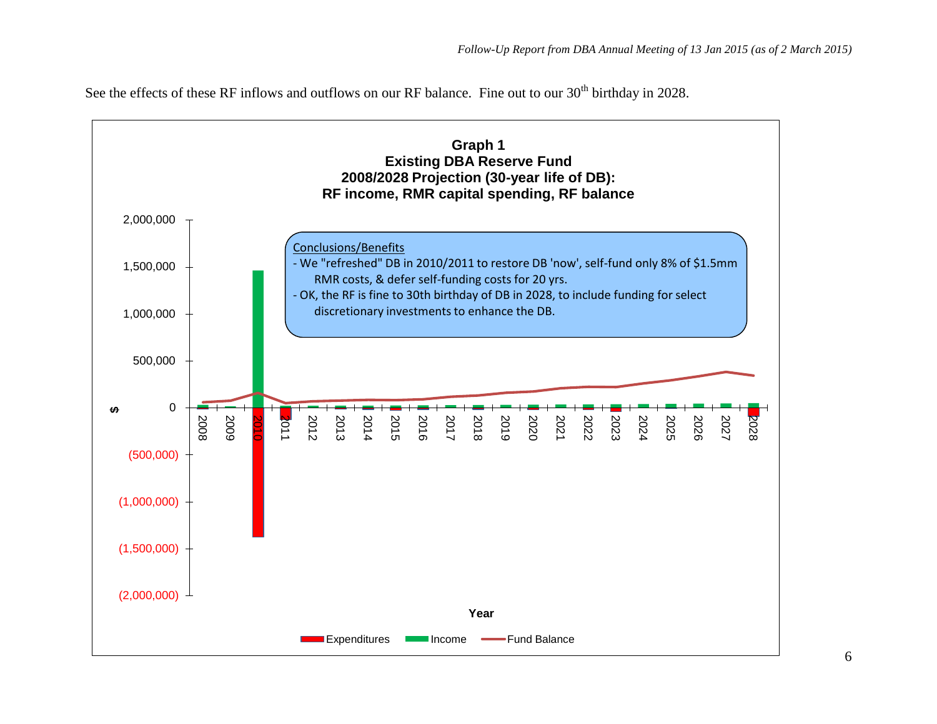See the effects of these RF inflows and outflows on our RF balance. Fine out to our 30<sup>th</sup> birthday in 2028.

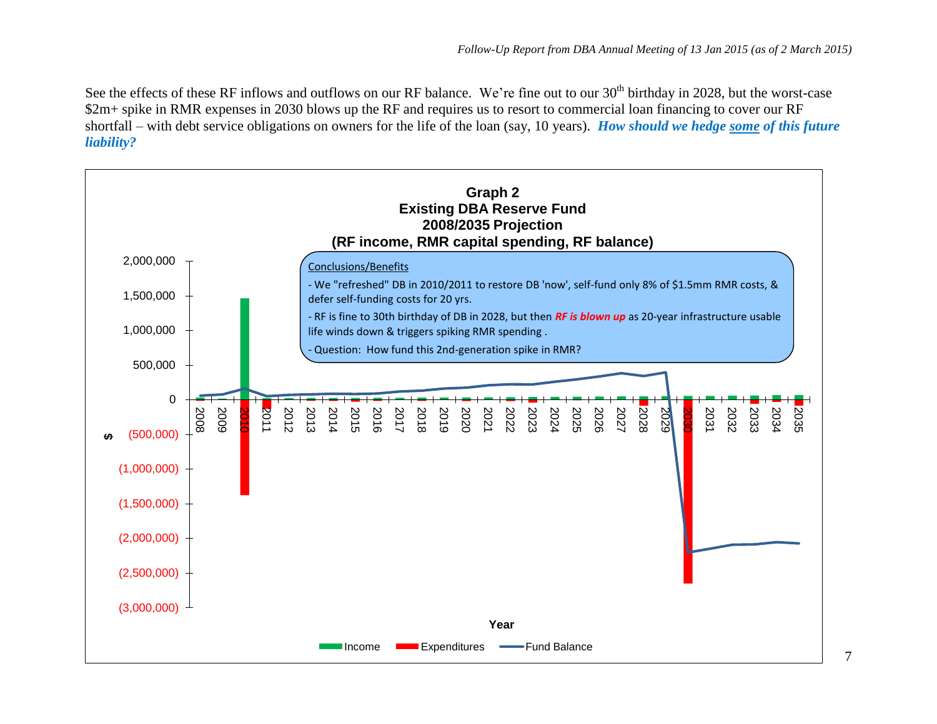See the effects of these RF inflows and outflows on our RF balance. We're fine out to our 30<sup>th</sup> birthday in 2028, but the worst-case \$2m+ spike in RMR expenses in 2030 blows up the RF and requires us to resort to commercial loan financing to cover our RF shortfall – with debt service obligations on owners for the life of the loan (say, 10 years). *How should we hedge some of this future liability?*

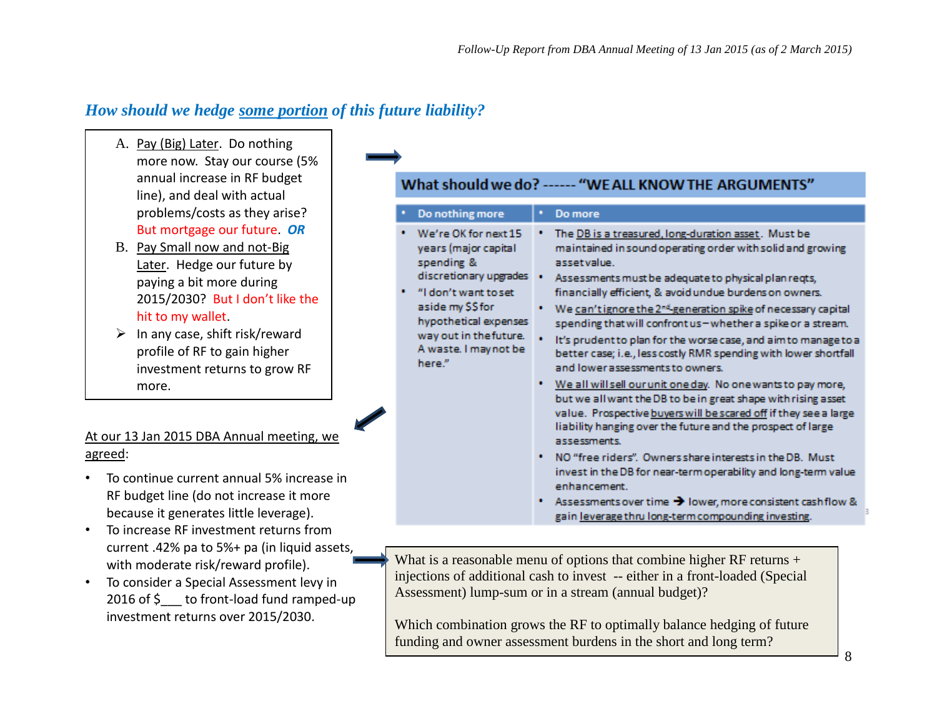# *How should we hedge some portion of this future liability?*

- A. Pay (Big) Later. Do nothing more now. Stay our course (5% annual increase in RF budget line), and deal with actual problems/costs as they arise? But mortgage our future. *OR*
- B. Pay Small now and not-Big Later. Hedge our future by paying a bit more during 2015/2030? But I don't like the hit to my wallet.
- $\triangleright$  In any case, shift risk/reward profile of RF to gain higher investment returns to grow RF more.

## At our 13 Jan 2015 DBA Annual meeting, we agreed:

- To continue current annual 5% increase in RF budget line (do not increase it more because it generates little leverage).
- To increase RF investment returns from current .42% pa to 5%+ pa (in liquid assets, with moderate risk/reward profile).
- To consider a Special Assessment levy in 2016 of \$ to front-load fund ramped-up investment returns over 2015/2030.

# What should we do? ------ "WE ALL KNOW THE ARGUMENTS"

| Do nothing more                                                                                                                                                                                                         | Do more                                                                                                                                                                                                                                                                                                                                                                                                                                                                                                                                                                                                                                                                                                                                                                                                                                                                                                                                                                                                                                                                                                                               |
|-------------------------------------------------------------------------------------------------------------------------------------------------------------------------------------------------------------------------|---------------------------------------------------------------------------------------------------------------------------------------------------------------------------------------------------------------------------------------------------------------------------------------------------------------------------------------------------------------------------------------------------------------------------------------------------------------------------------------------------------------------------------------------------------------------------------------------------------------------------------------------------------------------------------------------------------------------------------------------------------------------------------------------------------------------------------------------------------------------------------------------------------------------------------------------------------------------------------------------------------------------------------------------------------------------------------------------------------------------------------------|
| We're OK for next 15<br>years (major capital<br>spending &<br>discretionary upgrades<br>"I don't want to set<br>aside my \$\$ for<br>hypothetical expenses<br>way out in the future.<br>A waste. I may not be<br>here." | The DB is a treasured, long-duration asset. Must be<br>maintained in sound operating order with solid and growing<br>asset value.<br>Assessments must be adequate to physical plan regts,<br>financially efficient, & avoid undue burdens on owners.<br>We can't ignore the 2 <sup>nd</sup> -generation spike of necessary capital<br>spending that will confront us-whether a spike or a stream.<br>It's prudent to plan for the worse case, and aim to manage to a<br>better case; i.e., less costly RMR spending with lower shortfall<br>and lower assessments to owners.<br>* We all will sell our unit one day. No one wants to pay more,<br>but we all want the DB to be in great shape with rising asset<br>value. Prospective buyers will be scared off if they see a large<br>liability hanging over the future and the prospect of large<br>assessments.<br>. NO "free riders". Owners share interests in the DB. Must<br>invest in the DB for near-term operability and long-term value<br>enhancement.<br>the contract of the contract of the contract of the contract of the contract of the contract of the contract of |

Assessments over time  $\rightarrow$  lower, more consistent cashflow gain leverage thru long-term compounding investing.

What is a reasonable menu of options that combine higher RF returns + injections of additional cash to invest -- either in a front-loaded (Special Assessment) lump-sum or in a stream (annual budget)?

Which combination grows the RF to optimally balance hedging of future funding and owner assessment burdens in the short and long term?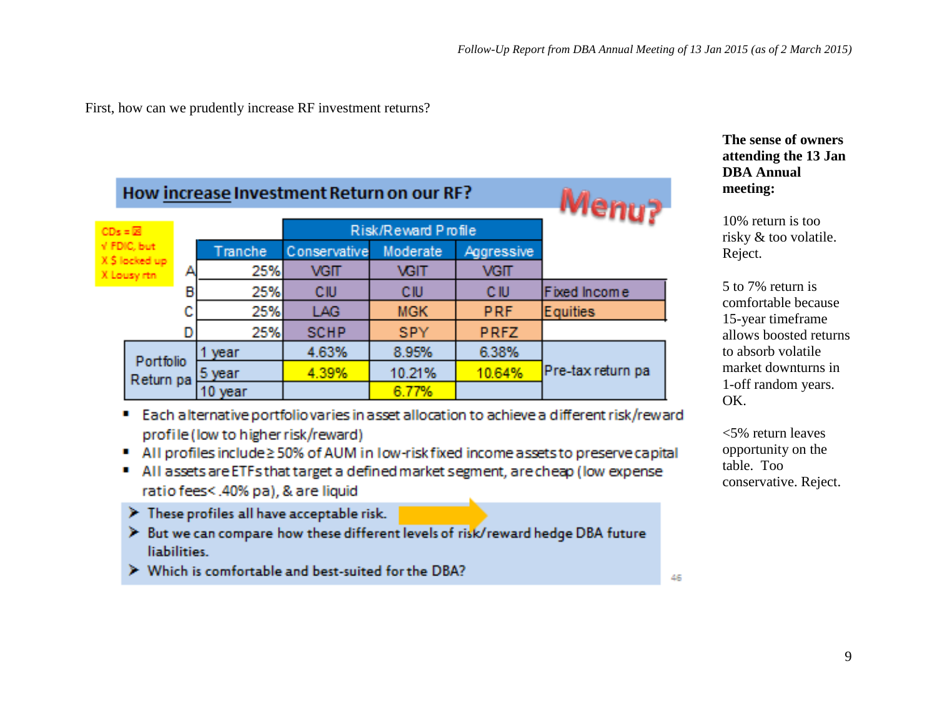First, how can we prudently increase RF investment returns?

|                   | How increase Investment Return on our RF? |   |         |              |                     |             |                   |  |  |  |
|-------------------|-------------------------------------------|---|---------|--------------|---------------------|-------------|-------------------|--|--|--|
| $CDs = \boxed{2}$ |                                           |   |         |              | Risk/Reward Profile |             |                   |  |  |  |
|                   | V. FDIC, but                              |   | Tranche | Conservative | Moderate            | Aggressive  |                   |  |  |  |
|                   | X \$ locked up<br>X Lousy rtn             |   | 25%     | <b>VGIT</b>  | <b>VGIT</b>         | <b>VGIT</b> |                   |  |  |  |
|                   |                                           | п | 25%     | CIU          | CIU                 | CIU         | Fixed Income      |  |  |  |
|                   |                                           |   | 25%     | LAG          | <b>MGK</b>          | <b>PRF</b>  | Equities          |  |  |  |
|                   |                                           |   | 25%     | <b>SCHP</b>  | <b>SPY</b>          | <b>PRFZ</b> |                   |  |  |  |
|                   | Portfolio                                 |   | year    | 4.63%        | 8.95%               | 6,38%       |                   |  |  |  |
|                   | Return pa                                 |   | 5 year  | 4.39%        | 10.21%              | 10.64%      | Pre-tax return pa |  |  |  |
|                   |                                           |   | 10 year |              | 6.77%               |             |                   |  |  |  |

## **The sense of owners attending the 13 Jan DBA Annual meeting:**

10% return is too risky & too volatile. Reject.

5 to 7% return is comfortable because 15-year timeframe allows boosted returns to absorb volatile market downturns in 1-off random years. OK.

<5% return leaves opportunity on the table. Too conservative. Reject.

Each alternative portfolio varies in asset allocation to achieve a different risk/reward profile (low to higher risk/reward)

- All profiles include ≥ 50% of AUM in low-risk fixed income assets to preserve capital
- All assets are ETFs that target a defined market segment, are cheap (low expense ratio fees<.40% pa), & are liquid
- $\triangleright$  These profiles all have acceptable risk.
- > But we can compare how these different levels of risk/reward hedge DBA future liabilities -
- > Which is comfortable and best-suited for the DBA?

46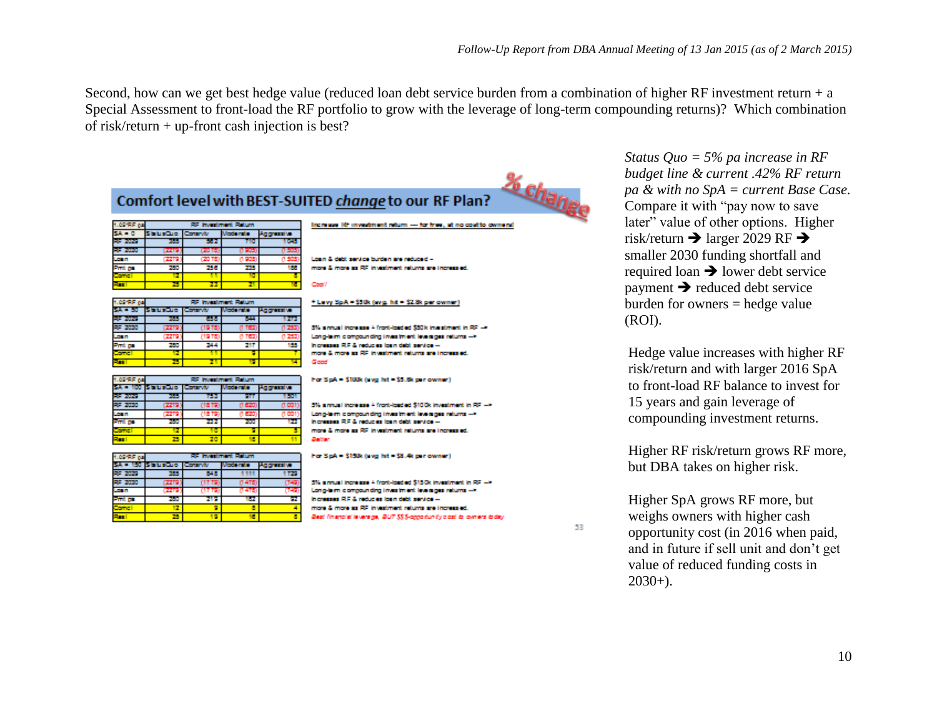Second, how can we get best hedge value (reduced loan debt service burden from a combination of higher RF investment return  $+ a$ Special Assessment to front-load the RF portfolio to grow with the leverage of long-term compounding returns)? Which combination of risk/return + up-front cash injection is best?



*Status Quo = 5% pa increase in RF budget line & current .42% RF return pa & with no SpA = current Base Case.*  Compare it with "pay now to save later" value of other options. Higher risk/return  $\rightarrow$  larger 2029 RF  $\rightarrow$ smaller 2030 funding shortfall and required loan  $\rightarrow$  lower debt service  $\rightarrow$  reduced debt service burden for owners = hedge value (ROI).

Hedge value increases with higher RF risk/return and with larger 2016 SpA to front-load RF balance to invest for 15 years and gain leverage of compounding investment returns.

Higher RF risk/return grows RF more, but DBA takes on higher risk.

Higher SpA grows RF more, but weighs owners with higher cash opportunity cost (in 2016 when paid, and in future if sell unit and don't get value of reduced funding costs in  $2030+$ ).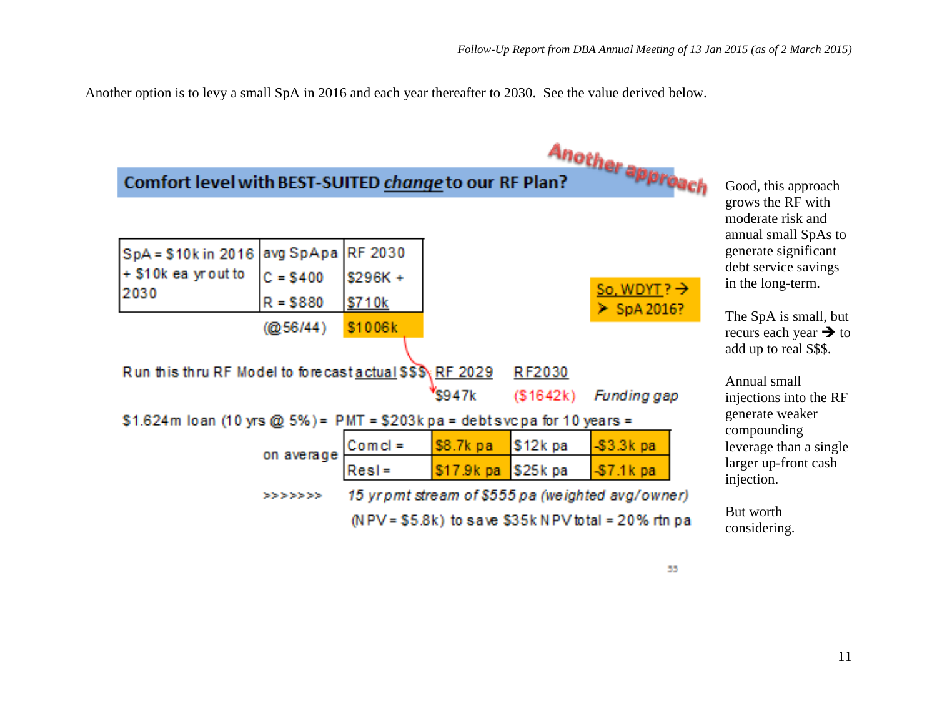Another option is to levy a small SpA in 2016 and each year thereafter to 2030. See the value derived below.



55.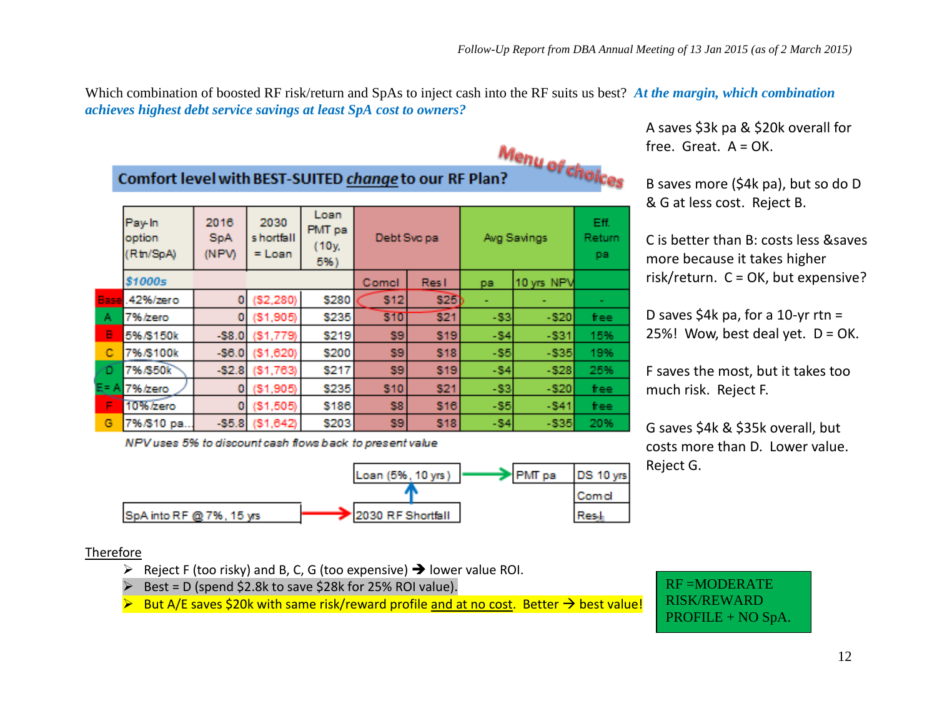Which combination of boosted RF risk/return and SpAs to inject cash into the RF suits us best? *At the margin, which combination achieves highest debt service savings at least SpA cost to owners?*

Menu of choices<br>n? Comfort level with BEST-SUITED change to our RF Plan?

|   | Pay-In<br>option<br>(Rtn/SpA) | 2016<br><b>SpA</b><br>(NPV) | 2030<br>s hortfall<br>$=$ Loan | Loan<br>PMT pa<br>(10y.<br>5%) | Debt Svc pa |            | Avg Savings | Eff.<br>Return<br>pa |       |
|---|-------------------------------|-----------------------------|--------------------------------|--------------------------------|-------------|------------|-------------|----------------------|-------|
|   | \$1000s                       |                             |                                |                                | Comcl       | Res I      | pa          | 10 yrs NPV           |       |
|   | Base 42%/zero                 | 0                           | ( \$2, 280)                    | \$280                          | <b>S12</b>  | \$25       |             |                      |       |
| А | 7%/zero                       | 0                           | (\$1,905)                      | \$235                          | \$10        | \$21       | $-53$       | $-520$               | free: |
| в | 5%/\$150k                     | $-58.0$                     | (S1, 779)                      | \$219                          | \$9         | <b>S19</b> | $-54$       | $-531$               | 15%   |
| с | 7%/S100k                      | $-56.0$                     | (\$1,620)                      | \$200                          | \$9         | \$18       | $-55$       | $-535$               | 19%   |
| ≏ | 7%/\$50k                      | $-52.8$                     | (\$1,763)                      | \$217                          | \$9         | \$19       | $-54$       | $-528$               | 25%   |
|   | $E = A \overline{7\%}$ /zero  | ٥                           | (\$1,905)                      | \$235                          | <b>S10</b>  | <b>S21</b> | $-$ 33      | $-520$               | free  |
| F | 10%/zero                      | 0                           | (\$1,505)                      | \$186                          | <b>S8</b>   | <b>S16</b> | $-$ S5      | $-541$               | free  |
| G | 7%/\$10 pa.                   | $-55.8$                     | ( \$1,642)                     | \$203                          | \$9         | <b>S18</b> | $-84$       | $-535$               | 20%   |

NPV uses 5% to discount cash flows back to present value



Therefore

- $\triangleright$  Reject F (too risky) and B, C, G (too expensive)  $\rightarrow$  lower value ROI.
- $\triangleright$  Best = D (spend \$2.8k to save \$28k for 25% ROI value).
- $\triangleright$  But A/E saves \$20k with same risk/reward profile and at no cost. Better  $\rightarrow$  best value!

A saves \$3k pa & \$20k overall for free. Great.  $A = OK$ .

B saves more (\$4k pa), but so do D & G at less cost. Reject B.

C is better than B: costs less &saves more because it takes higher risk/return.  $C = OK$ , but expensive?

D saves  $$4k$  pa, for a 10-yr rtn = 25%! Wow, best deal yet.  $D = OK$ .

F saves the most, but it takes too much risk. Reject F.

G saves \$4k & \$35k overall, but costs more than D. Lower value. Reject G.

RF =MODERATE RISK/REWARD PROFILE + NO SpA.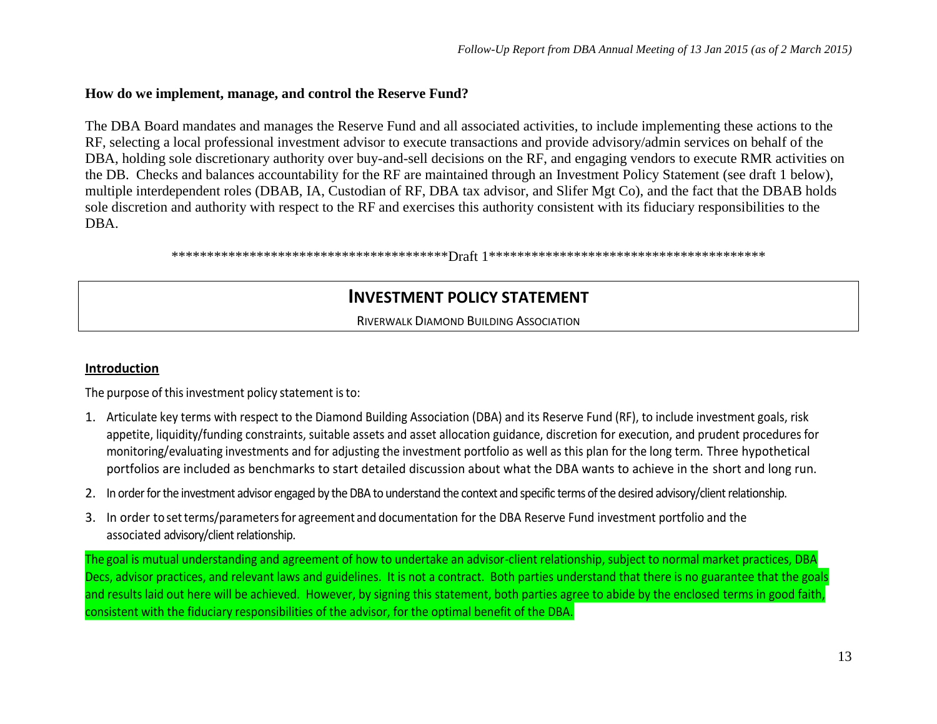#### **How do we implement, manage, and control the Reserve Fund?**

The DBA Board mandates and manages the Reserve Fund and all associated activities, to include implementing these actions to the RF, selecting a local professional investment advisor to execute transactions and provide advisory/admin services on behalf of the DBA, holding sole discretionary authority over buy-and-sell decisions on the RF, and engaging vendors to execute RMR activities on the DB. Checks and balances accountability for the RF are maintained through an Investment Policy Statement (see draft 1 below), multiple interdependent roles (DBAB, IA, Custodian of RF, DBA tax advisor, and Slifer Mgt Co), and the fact that the DBAB holds sole discretion and authority with respect to the RF and exercises this authority consistent with its fiduciary responsibilities to the DBA.

\*\*\*\*\*\*\*\*\*\*\*\*\*\*\*\*\*\*\*\*\*\*\*\*\*\*\*\*\*\*\*\*\*\*\*\*\*\*\*Draft 1\*\*\*\*\*\*\*\*\*\*\*\*\*\*\*\*\*\*\*\*\*\*\*\*\*\*\*\*\*\*\*\*\*\*\*\*\*\*\*

# **INVESTMENT POLICY STATEMENT**

RIVERWALK DIAMOND BUILDING ASSOCIATION

#### **Introduction**

The purpose of this investment policy statement is to:

- 1. Articulate key terms with respect to the Diamond Building Association (DBA) and its Reserve Fund (RF), to include investment goals, risk appetite, liquidity/funding constraints, suitable assets and asset allocation guidance, discretion for execution, and prudent procedures for monitoring/evaluating investments and for adjusting the investment portfolio as well as this plan for the long term. Three hypothetical portfolios are included as benchmarks to start detailed discussion about what the DBA wants to achieve in the short and long run.
- 2. In order for the investment advisor engaged by the DBA to understand the context and specific terms of the desired advisory/client relationship.
- 3. In order to setterms/parametersfor agreement and documentation for the DBA Reserve Fund investment portfolio and the associated advisory/client relationship.

The goal is mutual understanding and agreement of how to undertake an advisor-client relationship, subject to normal market practices, DBA Decs, advisor practices, and relevant laws and guidelines. It is not a contract. Both parties understand that there is no guarantee that the goals and results laid out here will be achieved. However, by signing this statement, both parties agree to abide by the enclosed terms in good faith, consistent with the fiduciary responsibilities of the advisor, for the optimal benefit of the DBA.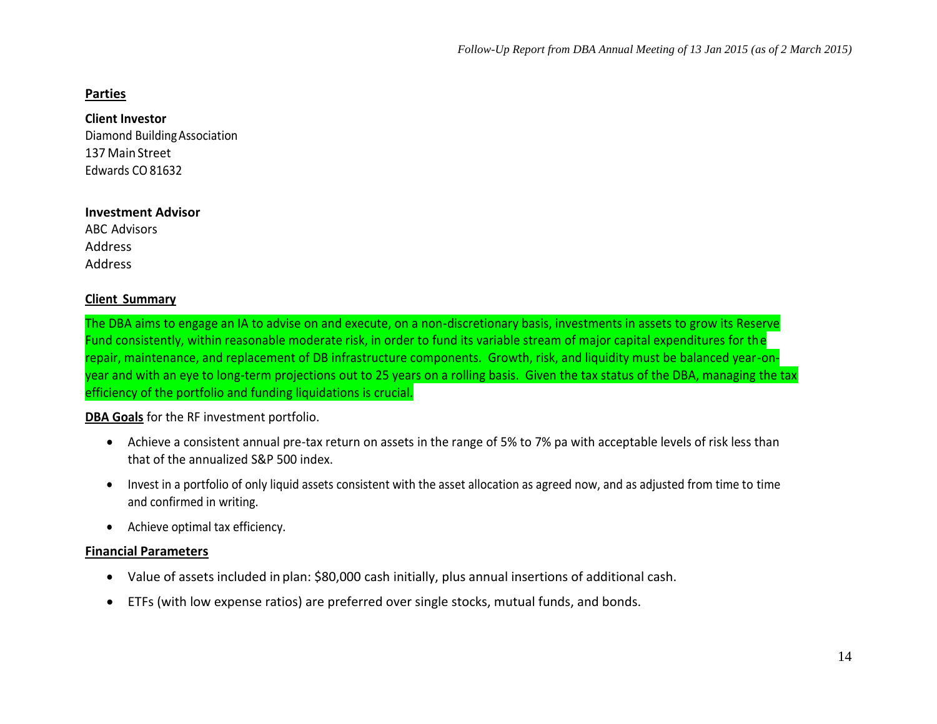#### **Parties**

**Client Investor**

Diamond BuildingAssociation 137 Main Street Edwards CO81632

#### **Investment Advisor**

ABC Advisors Address Address

#### **Client Summary**

The DBA aims to engage an IA to advise on and execute, on a non-discretionary basis, investments in assets to grow its Reserve Fund consistently, within reasonable moderate risk, in order to fund its variable stream of major capital expenditures for the repair, maintenance, and replacement of DB infrastructure components. Growth, risk, and liquidity must be balanced year-onyear and with an eye to long-term projections out to 25 years on a rolling basis. Given the tax status of the DBA, managing the tax efficiency of the portfolio and funding liquidations is crucial.

**DBA Goals** for the RF investment portfolio.

- Achieve a consistent annual pre-tax return on assets in the range of 5% to 7% pa with acceptable levels of risk less than that of the annualized S&P 500 index.
- Invest in a portfolio of only liquid assets consistent with the asset allocation as agreed now, and as adjusted from time to time and confirmed in writing.
- Achieve optimal tax efficiency.

#### **Financial Parameters**

- Value of assets included in plan: \$80,000 cash initially, plus annual insertions of additional cash.
- ETFs (with low expense ratios) are preferred over single stocks, mutual funds, and bonds.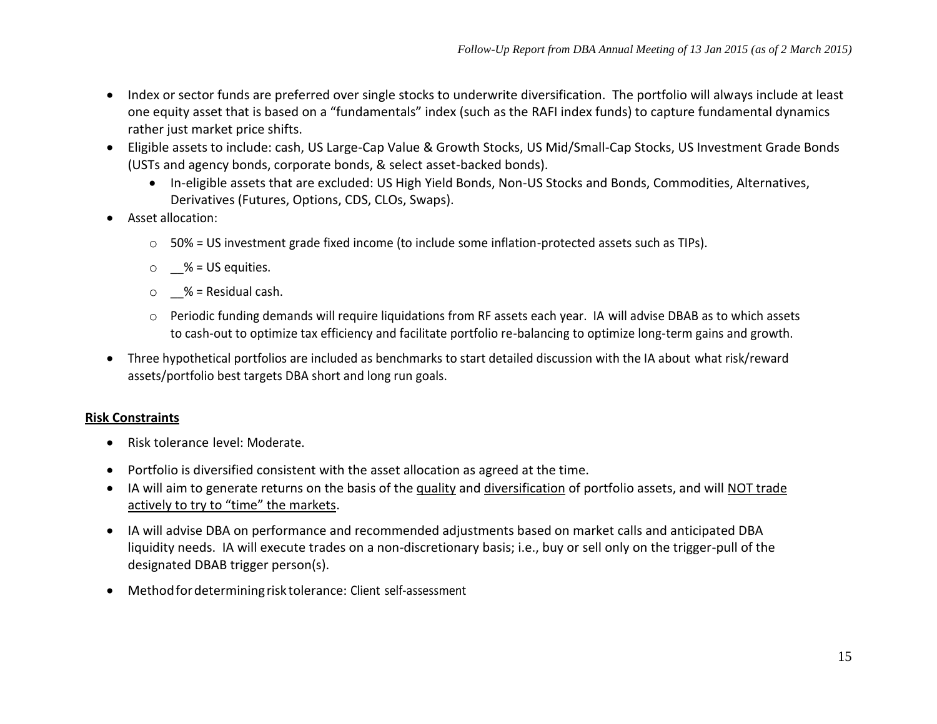- Index or sector funds are preferred over single stocks to underwrite diversification. The portfolio will always include at least one equity asset that is based on a "fundamentals" index (such as the RAFI index funds) to capture fundamental dynamics rather just market price shifts.
- Eligible assets to include: cash, US Large-Cap Value & Growth Stocks, US Mid/Small-Cap Stocks, US Investment Grade Bonds (USTs and agency bonds, corporate bonds, & select asset-backed bonds).
	- In-eligible assets that are excluded: US High Yield Bonds, Non-US Stocks and Bonds, Commodities, Alternatives, Derivatives (Futures, Options, CDS, CLOs, Swaps).
- Asset allocation:
	- $\circ$  50% = US investment grade fixed income (to include some inflation-protected assets such as TIPs).
	- $\circ$  % = US equities.
	- $\circ$  % = Residual cash.
	- o Periodic funding demands will require liquidations from RF assets each year. IA will advise DBAB as to which assets to cash-out to optimize tax efficiency and facilitate portfolio re-balancing to optimize long-term gains and growth.
- Three hypothetical portfolios are included as benchmarks to start detailed discussion with the IA about what risk/reward assets/portfolio best targets DBA short and long run goals.

#### **Risk Constraints**

- Risk tolerance level: Moderate.
- Portfolio is diversified consistent with the asset allocation as agreed at the time.
- IA will aim to generate returns on the basis of the quality and diversification of portfolio assets, and will NOT trade actively to try to "time" the markets.
- IA will advise DBA on performance and recommended adjustments based on market calls and anticipated DBA liquidity needs. IA will execute trades on a non-discretionary basis; i.e., buy or sell only on the trigger-pull of the designated DBAB trigger person(s).
- Methodfordeterminingrisk tolerance: Client self-assessment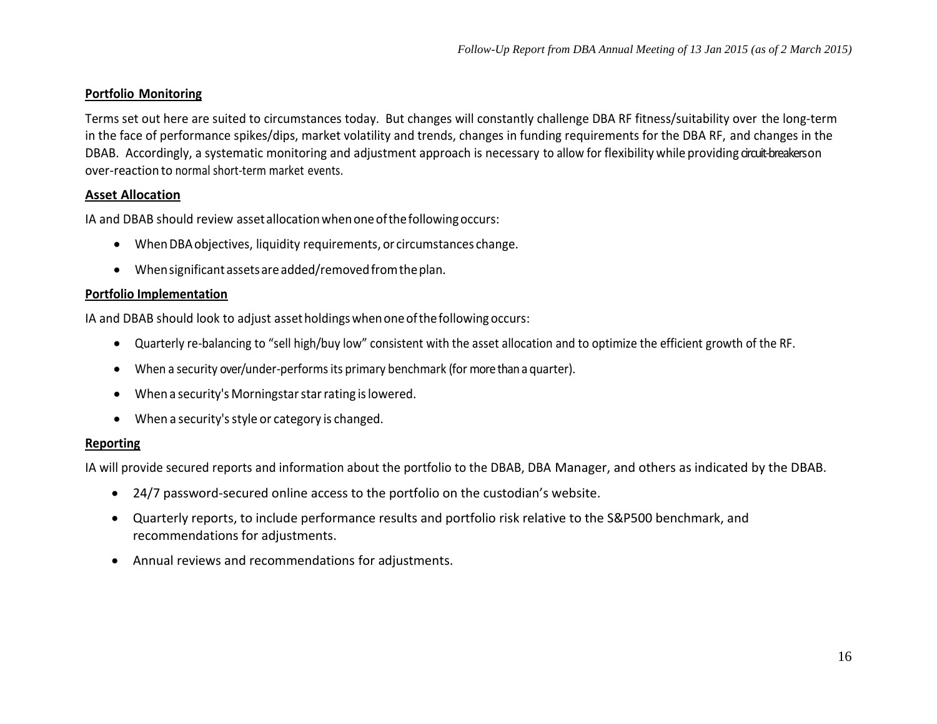#### **Portfolio Monitoring**

Terms set out here are suited to circumstances today. But changes will constantly challenge DBA RF fitness/suitability over the long-term in the face of performance spikes/dips, market volatility and trends, changes in funding requirements for the DBA RF, and changes in the DBAB. Accordingly, a systematic monitoring and adjustment approach is necessary to allow for flexibility while providing circuit-breakers on over-reaction to normal short-term market events.

#### **Asset Allocation**

IA and DBAB should review assetallocationwhenoneofthefollowingoccurs:

- WhenDBAobjectives, liquidity requirements, or circumstances change.
- Whensignificant assets areadded/removedfromtheplan.

#### **Portfolio Implementation**

IA and DBAB should look to adjust assetholdingswhenoneofthefollowing occurs:

- Quarterly re-balancing to "sell high/buy low" consistent with the asset allocation and to optimize the efficient growth of the RF.
- When a security over/under-performsits primary benchmark (for more than a quarter).
- When a security's Morningstar star rating is lowered.
- When a security's style or category is changed.

#### **Reporting**

IA will provide secured reports and information about the portfolio to the DBAB, DBA Manager, and others as indicated by the DBAB.

- 24/7 password-secured online access to the portfolio on the custodian's website.
- Quarterly reports, to include performance results and portfolio risk relative to the S&P500 benchmark, and recommendations for adjustments.
- Annual reviews and recommendations for adjustments.